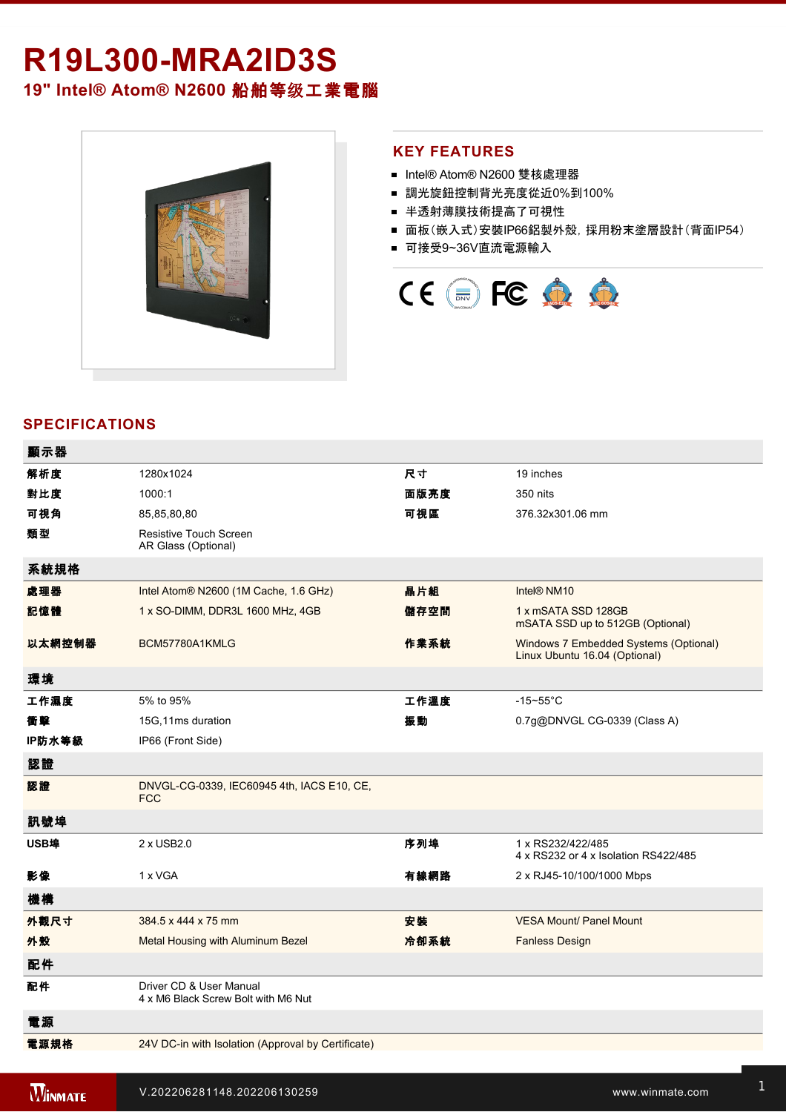# **R19L300-MRA2ID3S**

**19" Intel® Atom® N2600** 船舶等级工業電腦



### **KEY FEATURES**

- Intel® Atom® N2600 雙核處理器
- 調光旋鈕控制背光亮度從近0%到100%
- 半透射薄膜技術提高了可視性
- 面板(嵌入式)安裝IP66鋁製外殼, 採用粉末塗層設計(背面IP54)
- 可接受9~36V直流電源輸入



## **SPECIFICATIONS**

| 顯示器    |                                                                |      |                                                                        |
|--------|----------------------------------------------------------------|------|------------------------------------------------------------------------|
| 解析度    | 1280x1024                                                      | 尺寸   | 19 inches                                                              |
| 對比度    | 1000:1                                                         | 面版亮度 | 350 nits                                                               |
| 可視角    | 85,85,80,80                                                    | 可視區  | 376.32x301.06 mm                                                       |
| 類型     | <b>Resistive Touch Screen</b><br>AR Glass (Optional)           |      |                                                                        |
| 系統規格   |                                                                |      |                                                                        |
| 處理器    | Intel Atom® N2600 (1M Cache, 1.6 GHz)                          | 晶片組  | Intel® NM10                                                            |
| 記憶體    | 1 x SO-DIMM, DDR3L 1600 MHz, 4GB                               | 儲存空間 | 1 x mSATA SSD 128GB<br>mSATA SSD up to 512GB (Optional)                |
| 以太網控制器 | BCM57780A1KMLG                                                 | 作業系統 | Windows 7 Embedded Systems (Optional)<br>Linux Ubuntu 16.04 (Optional) |
| 環境     |                                                                |      |                                                                        |
| 工作濕度   | 5% to 95%                                                      | 工作溫度 | $-15 - 55$ °C                                                          |
| 衝擊     | 15G,11ms duration                                              | 振動   | 0.7g@DNVGL CG-0339 (Class A)                                           |
| IP防水等級 | IP66 (Front Side)                                              |      |                                                                        |
| 認證     |                                                                |      |                                                                        |
| 認證     | DNVGL-CG-0339, IEC60945 4th, IACS E10, CE,<br><b>FCC</b>       |      |                                                                        |
| 訊號埠    |                                                                |      |                                                                        |
| USB埠   | 2 x USB2.0                                                     | 序列埠  | 1 x RS232/422/485<br>4 x RS232 or 4 x Isolation RS422/485              |
| 影像     | 1 x VGA                                                        | 有線網路 | 2 x RJ45-10/100/1000 Mbps                                              |
| 機構     |                                                                |      |                                                                        |
| 外觀尺寸   | 384.5 x 444 x 75 mm                                            | 安装   | <b>VESA Mount/ Panel Mount</b>                                         |
| 外殼     | Metal Housing with Aluminum Bezel                              | 冷卻系統 | <b>Fanless Design</b>                                                  |
| 配件     |                                                                |      |                                                                        |
| 配件     | Driver CD & User Manual<br>4 x M6 Black Screw Bolt with M6 Nut |      |                                                                        |
| 電源     |                                                                |      |                                                                        |
| 電源規格   | 24V DC-in with Isolation (Approval by Certificate)             |      |                                                                        |

1 x Reset Button and the Company of the Company of the Company of the Company of the Company of the Company of